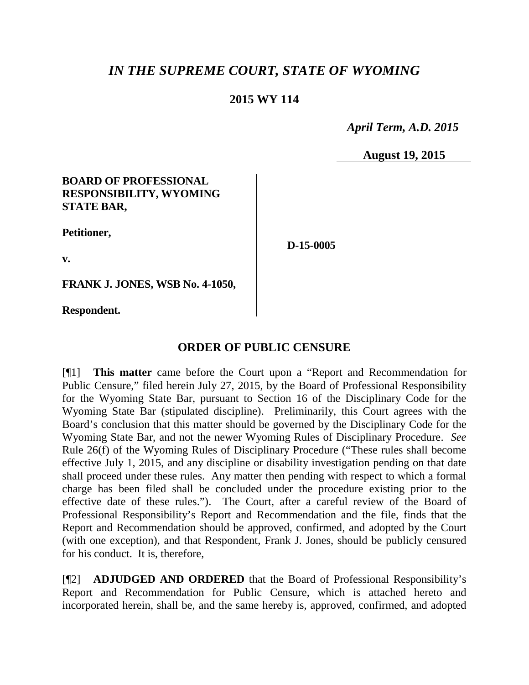# *IN THE SUPREME COURT, STATE OF WYOMING*

# **2015 WY 114**

 *April Term, A.D. 2015*

**August 19, 2015**

## **BOARD OF PROFESSIONAL RESPONSIBILITY, WYOMING STATE BAR,**

**Petitioner,**

**D-15-0005**

**v.**

**FRANK J. JONES, WSB No. 4-1050,**

**Respondent.**

# **ORDER OF PUBLIC CENSURE**

[¶1] **This matter** came before the Court upon a "Report and Recommendation for Public Censure," filed herein July 27, 2015, by the Board of Professional Responsibility for the Wyoming State Bar, pursuant to Section 16 of the Disciplinary Code for the Wyoming State Bar (stipulated discipline). Preliminarily, this Court agrees with the Board's conclusion that this matter should be governed by the Disciplinary Code for the Wyoming State Bar, and not the newer Wyoming Rules of Disciplinary Procedure. *See* Rule 26(f) of the Wyoming Rules of Disciplinary Procedure ("These rules shall become effective July 1, 2015, and any discipline or disability investigation pending on that date shall proceed under these rules. Any matter then pending with respect to which a formal charge has been filed shall be concluded under the procedure existing prior to the effective date of these rules."). The Court, after a careful review of the Board of Professional Responsibility's Report and Recommendation and the file, finds that the Report and Recommendation should be approved, confirmed, and adopted by the Court (with one exception), and that Respondent, Frank J. Jones, should be publicly censured for his conduct. It is, therefore,

[¶2] **ADJUDGED AND ORDERED** that the Board of Professional Responsibility's Report and Recommendation for Public Censure, which is attached hereto and incorporated herein, shall be, and the same hereby is, approved, confirmed, and adopted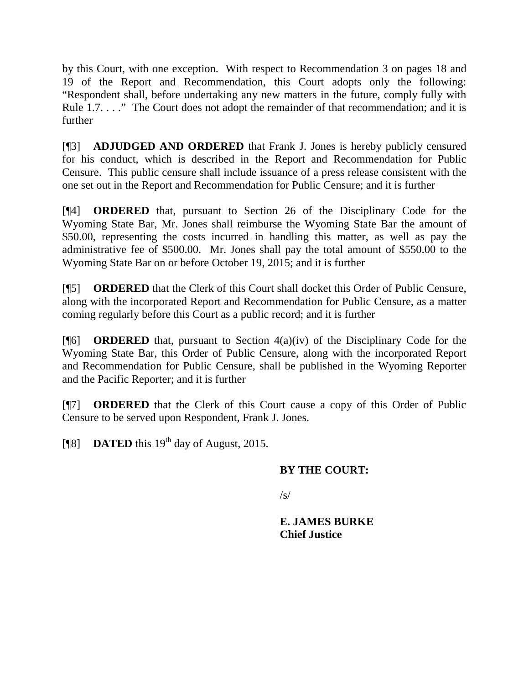by this Court, with one exception. With respect to Recommendation 3 on pages 18 and 19 of the Report and Recommendation, this Court adopts only the following: "Respondent shall, before undertaking any new matters in the future, comply fully with Rule 1.7. . . . " The Court does not adopt the remainder of that recommendation; and it is further

[¶3] **ADJUDGED AND ORDERED** that Frank J. Jones is hereby publicly censured for his conduct, which is described in the Report and Recommendation for Public Censure. This public censure shall include issuance of a press release consistent with the one set out in the Report and Recommendation for Public Censure; and it is further

[¶4] **ORDERED** that, pursuant to Section 26 of the Disciplinary Code for the Wyoming State Bar, Mr. Jones shall reimburse the Wyoming State Bar the amount of \$50.00, representing the costs incurred in handling this matter, as well as pay the administrative fee of \$500.00. Mr. Jones shall pay the total amount of \$550.00 to the Wyoming State Bar on or before October 19, 2015; and it is further

[¶5] **ORDERED** that the Clerk of this Court shall docket this Order of Public Censure, along with the incorporated Report and Recommendation for Public Censure, as a matter coming regularly before this Court as a public record; and it is further

[¶6] **ORDERED** that, pursuant to Section 4(a)(iv) of the Disciplinary Code for the Wyoming State Bar, this Order of Public Censure, along with the incorporated Report and Recommendation for Public Censure, shall be published in the Wyoming Reporter and the Pacific Reporter; and it is further

[¶7] **ORDERED** that the Clerk of this Court cause a copy of this Order of Public Censure to be served upon Respondent, Frank J. Jones.

[ $[$ [8] **DATED** this 19<sup>th</sup> day of August, 2015.

## **BY THE COURT:**

/s/

**E. JAMES BURKE Chief Justice**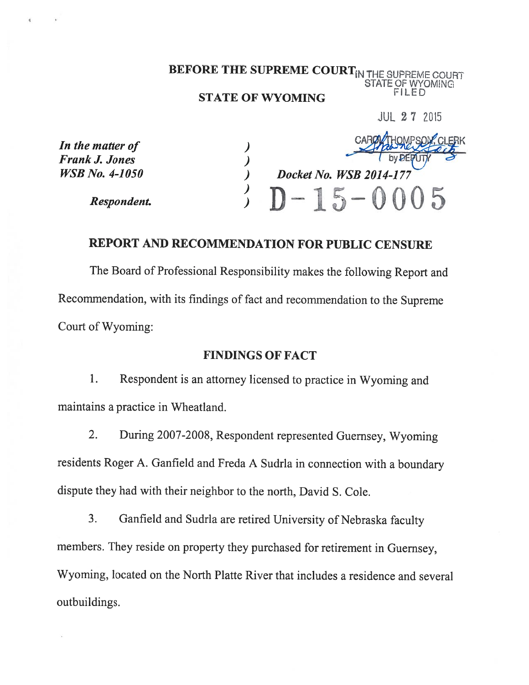# BEFORE THE SUPREME COURT<sub>IN THE SUPREME COURT</sub><br>STATE OF WYOMING **STATE OF WYOMING**

JUL 2 7 2015

| In the matter of      |                         |
|-----------------------|-------------------------|
| Frank J. Jones        |                         |
| <i>WSB No. 4-1050</i> | Docket No. WSB 2014-177 |
| Respondent.           | $D-15-0005$             |

# REPORT AND RECOMMENDATION FOR PUBLIC CENSURE

The Board of Professional Responsibility makes the following Report and Recommendation, with its findings of fact and recommendation to the Supreme Court of Wyoming:

#### FINDINGS OF FACT

1. Respondent is an attorney licensed to practice in Wyoming and maintains <sup>a</sup> practice in Wheatland.

2. During 2007-2008, Respondent represented Guernsey, Wyoming residents Roger A. Ganfield and Freda <sup>A</sup> Sudria in connection with <sup>a</sup> boundary dispute they had with their neighbor to the north, David S. Cole.

3. Ganfield and Sudrla are retired University of Nebraska faculty members. They reside on property they purchased for retirement in Guernsey, Wyoming, located on the North Platte River that includes <sup>a</sup> residence and several outbuildings.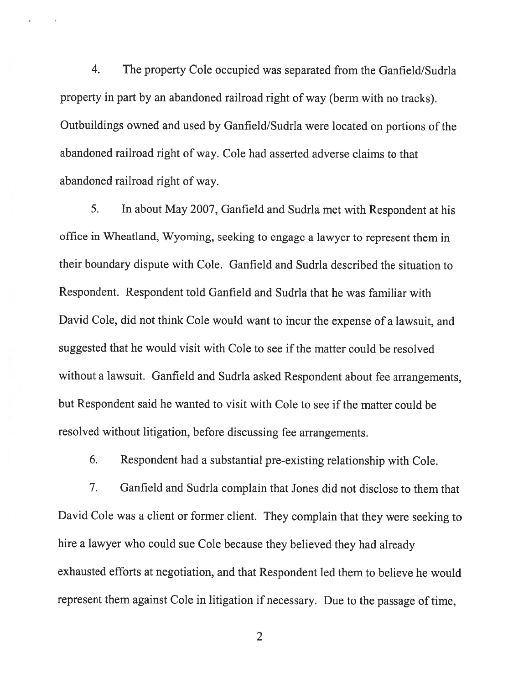4. The property Cole occupied was separated from the Ganfield/Sudria property in part by an abandoned railroad right of way (berm with no tracks). Outbuildings owned and used by Ganfield/Sudrla were located on portions of the abandoned railroad right of way. Cole had asserted adverse claims to that abandoned railroad right of way.

5. In about May 2007, Ganfield and Sudria met with Respondent at his office in Wheatland, Wyoming, seeking to engage <sup>a</sup> lawyer to represent them in their boundary dispute with Cole. Ganfield and Sudrla described the situation to Respondent. Respondent told Ganfield and Sudria that he was familiar with David Cole, did not think Cole would want to incur the expense of <sup>a</sup> lawsuit, and suggested that he would visit with Cole to see if the matter could be resolved without <sup>a</sup> lawsuit. Ganfield and Sudria asked Respondent about fee arrangements, but Respondent said he wanted to visit with Cole to see if the matter could be resolved without litigation, before discussing fee arrangements.

6. Respondent had <sup>a</sup> substantial pre-existing relationship with Cole.

7. Ganfield and Sudria complain that Jones did not disclose to them that David Cole was <sup>a</sup> client or former client. They complain that they were seeking to hire <sup>a</sup> lawyer who could sue Cole because they believed they had already exhausted efforts at negotiation, and that Respondent led them to believe he would represent them against Cole in litigation if necessary. Due to the passage of time,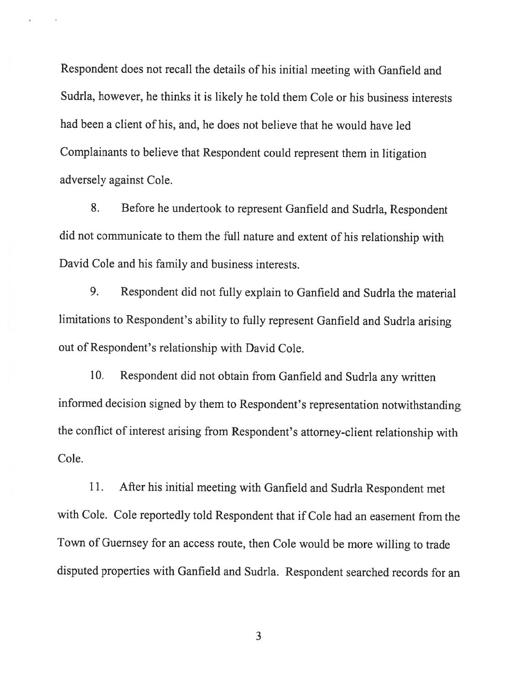Respondent does not recall the details of his initial meeting with Ganfield and Sudria, however, he thinks it is likely he told them Cole or his business interests had been <sup>a</sup> client of his, and, he does not believe that he would have led Complainants to believe that Respondent could represent them in litigation adversely against Cole.

8. Before he undertook to represent Ganfield and Sudrla, Respondent did not communicate to them the full nature and extent of his relationship with David Cole and his family and business interests.

9. Respondent did not fully explain to Ganfield and Sudrla the material limitations to Respondent's ability to fully represent Ganfield and Sudria arising out of Respondent's relationship with David Cole.

10. Respondent did not obtain from Ganfield and Sudrla any written informed decision signed by them to Respondent's representation notwithstanding the conflict of interest arising from Respondent's attorney-client relationship with Cole.

11. After his initial meeting with Ganfield and Sudrla Respondent met with Cole. Cole reportedly told Respondent that if Cole had an easement from the Town of Guernsey for an access route, then Cole would be more willing to trade disputed properties with Ganfield and Sudrla. Respondent searched records for an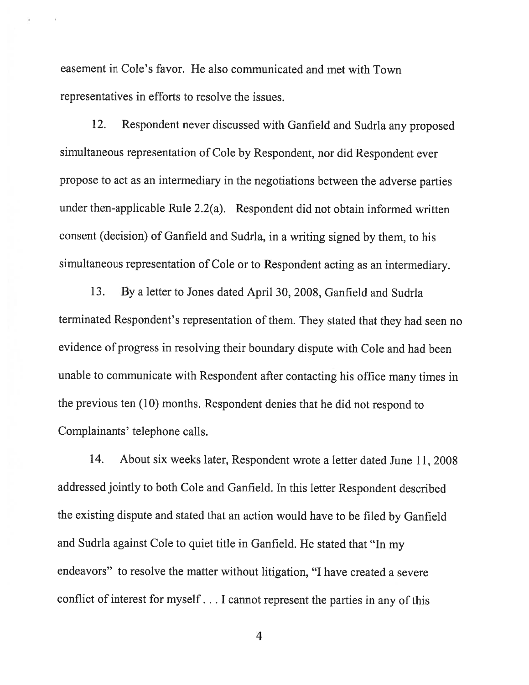easement in Cole's favor. He also communicated and met with Town representatives in efforts to resolve the issues.

12. Respondent never discussed with Ganfield and Sudria any proposed simultaneous representation of Cole by Respondent, nor did Respondent ever propose to act as an intermediary in the negotiations between the adverse parties under then-applicable Rule 2.2(a). Respondent did not obtain informed written consent (decision) of Ganfield and Sudrla, in <sup>a</sup> writing signed by them, to his simultaneous representation of Cole or to Respondent acting as an intermediary.

13. By <sup>a</sup> letter to Jones dated April 30, 2008, Ganfield and Sudria terminated Respondent's representation of them. They stated that they had seen no evidence of progress in resolving their boundary dispute with Cole and had been unable to communicate with Respondent after contacting his office many times in the previous ten (10) months. Respondent denies that he did not respond to Complainants' telephone calls.

14. About six weeks later, Respondent wrote <sup>a</sup> letter dated June 11, 2008 addressed jointly to both Cole and Ganfield. In this letter Respondent described the existing dispute and stated that an action would have to be filed by Ganfield and Sudrla against Cole to quiet title in Ganfield. He stated that "In my endeavors" to resolve the matter without litigation, "I have created <sup>a</sup> severe conflict of interest for myself. . . <sup>I</sup> cannot represent the parties in any of this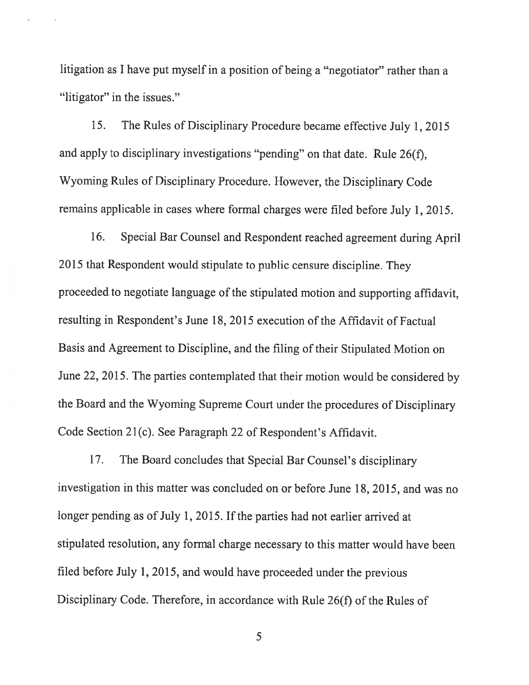litigation as <sup>I</sup> have put myself in <sup>a</sup> position of being <sup>a</sup> "negotiator" rather than <sup>a</sup> "litigator" in the issues."

15. The Rules of Disciplinary Procedure became effective July 1, <sup>2015</sup> and apply to disciplinary investigations "pending" on that date. Rule 26(f), Wyoming Rules of Disciplinary Procedure. However, the Disciplinary Code remains applicable in cases where formal charges were filed before July 1, 2015.

16. Special Bar Counsel and Respondent reached agreement during April <sup>2015</sup> that Respondent would stipulate to public censure discipline. They proceeded to negotiate language of the stipulated motion and supporting affidavit, resulting in Respondent's June 18, 2015 execution of the Affidavit of Factual Basis and Agreement to Discipline, and the filing of their Stipulated Motion on June 22, 2015. The parties contemplated that their motion would be considered by the Board and the Wyoming Supreme Court under the procedures of Disciplinary Code Section 21(c). See Paragraph 22 of Respondent's Affidavit.

17. The Board concludes that Special Bar Counsel's disciplinary investigation in this matter was concluded on or before June 18, 2015, and was no longer pending as of July 1, 2015. If the parties had not earlier arrived at stipulated resolution, any formal charge necessary to this matter would have been filed before July 1, 2015, and would have proceeded under the previous Disciplinary Code. Therefore, in accordance with Rule 26(f) of the Rules of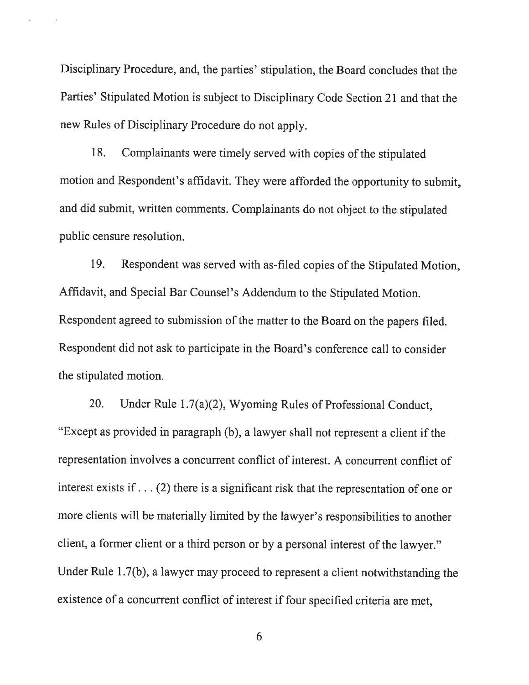Disciplinary Procedure, and, the parties' stipulation, the Board concludes that the Parties' Stipulated Motion is subject to Disciplinary Code Section <sup>21</sup> and that the new Rules of Disciplinary Procedure do not apply.

18. Complainants were timely served with copies of the stipulated motion and Respondent's affidavit. They were afforded the opportunity to submit, and did submit, written comments. Complainants do not object to the stipulated public censure resolution.

19. Respondent was served with as-filed copies of the Stipulated Motion, Affidavit, and Special Bar Counsel's Addendum to the Stipulated Motion. Respondent agreed to submission of the matter to the Board on the papers filed. Respondent did not ask to participate in the Board's conference call to consider the stipulated motion.

20. Under Rule <sup>1</sup> .7(a)(2), Wyoming Rules of Professional Conduct, "Except as provided in paragrap<sup>h</sup> (b), <sup>a</sup> lawyer shall not represent <sup>a</sup> client if the representation involves <sup>a</sup> concurrent conflict of interest. A concurrent conflict of interest exists if. . . (2) there is <sup>a</sup> significant risk that the representation of one or more clients will be materially limited by the lawyer's responsibilities to another client, <sup>a</sup> former client or <sup>a</sup> third person or by <sup>a</sup> personal interest of the lawyer." Under Rule 1.7(b), <sup>a</sup> lawyer may proceed to represent <sup>a</sup> client notwithstanding the existence of <sup>a</sup> concurrent conflict of interest if four specified criteria are met,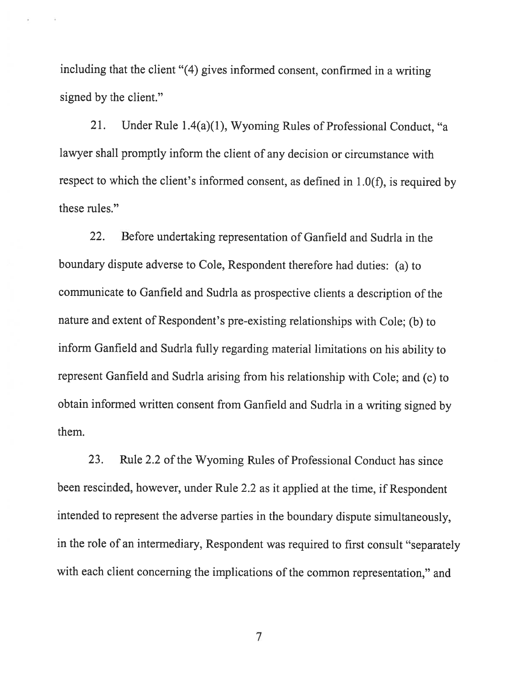including that the client "(4) <sup>g</sup>ives informed consent, confirmed in <sup>a</sup> writing signed by the client."

21. Under Rule 1.4(a)(1), Wyoming Rules of Professional Conduct, "a lawyer shall promptly inform the client of any decision or circumstance with respect to which the client's informed consent, as defined in 1.0(f), is required by these rules."

22. Before undertaking representation of Ganfield and Sudria in the boundary dispute adverse to Cole, Respondent therefore had duties: (a) to communicate to Ganfield and Sudrla as prospective clients <sup>a</sup> description of the nature and extent of Respondent's pre-existing relationships with Cole; (b) to inform Ganfield and Sudrla fully regarding material limitations on his ability to represent Ganfield and Sudrla arising from his relationship with Cole; and (c) to obtain informed written consent from Ganfield and Sudrla in <sup>a</sup> writing signed by them.

23. Rule 2.2 of the Wyoming Rules of Professional Conduct has since been rescinded, however, under Rule 2.2 as it applied at the time, if Respondent intended to represent the adverse parties in the boundary dispute simultaneously, in the role of an intermediary, Respondent was required to first consult "separately with each client concerning the implications of the common representation," and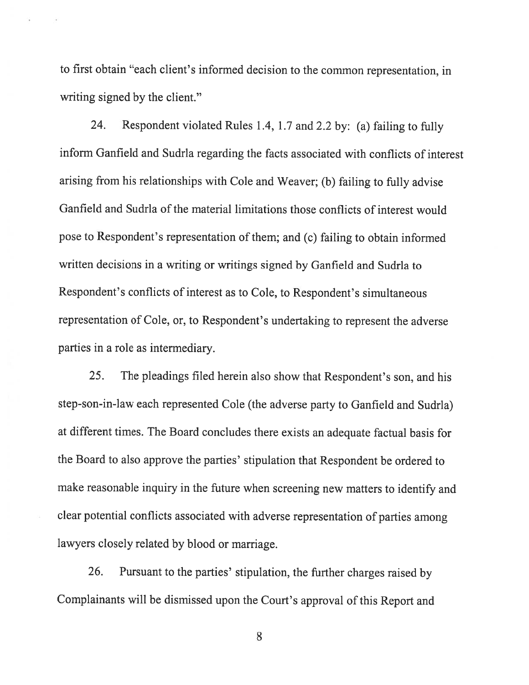to first obtain "each client's informed decision to the common representation, in writing signed by the client."

24. Respondent violated Rules 1.4, 1.7 and 2.2 by: (a) failing to fully inform Ganfield and Sudrla regarding the facts associated with conflicts of interest arising from his relationships with Cole and Weaver; (b) failing to fully advise Ganfield and Sudria of the material limitations those conflicts of interest would pose to Respondent's representation of them; and (c) failing to obtain informed written decisions in a writing or writings signed by Ganfield and Sudrla to Respondent's conflicts of interest as to Cole, to Respondent's simultaneous representation of Cole, or, to Respondent's undertaking to represent the adverse parties in <sup>a</sup> role as intermediary.

25. The <sup>p</sup>leadings filed herein also show that Respondent's son, and his step-son-in-law each represented Cole (the adverse party to Ganfield and Sudria) at different times. The Board concludes there exists an adequate factual basis for the Board to also approve the parties' stipulation that Respondent be ordered to make reasonable inquiry in the future when screening new matters to identify and clear potential conflicts associated with adverse representation of parties among lawyers closely related by blood or marriage.

26. Pursuant to the parties' stipulation, the further charges raised by Complainants will be dismissed upon the Court's approval of this Report and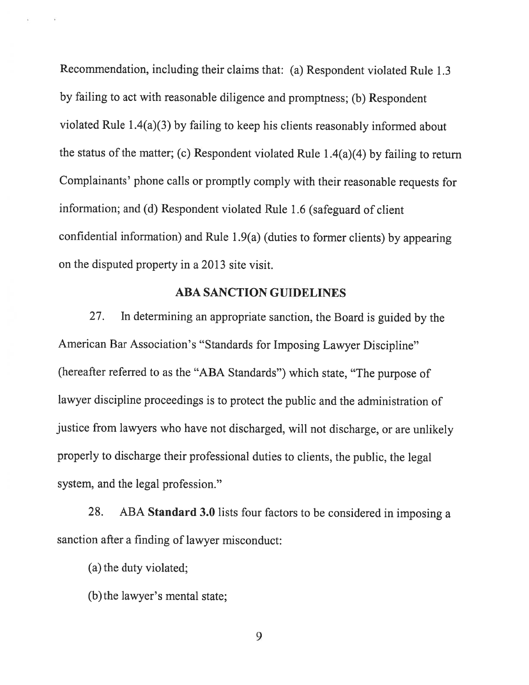Recommendation, including their claims that: (a) Respondent violated Rule 1.3 by failing to act with reasonable diligence and promptness; (b) Respondent violated Rule <sup>1</sup> .4(a)(3) by failing to keep his clients reasonably informed about the status of the matter; (c) Respondent violated Rule <sup>1</sup> .4(a)(4) by failing to return Complainants' <sup>p</sup>hone calls or promptly comply with their reasonable requests for information; and (d) Respondent violated Rule 1.6 (safeguard of client confidential information) and Rule 1.9(a) (duties to former clients) by appearing on the disputed property in <sup>a</sup> 2013 site visit.

### ABA SANCTION GUIDELINES

27. In determining an appropriate sanction, the Board is guided by the American Bar Association's "Standards for Imposing Lawyer Discipline" (hereafter referred to as the "ABA Standards") which state, "The purpose of lawyer discipline proceedings is to protect the public and the administration of justice from lawyers who have not discharged, will not discharge, or are unlikely properly to discharge their professional duties to clients, the public, the legal system, and the legal profession."

28. ABA Standard 3.0 lists four factors to be considered in imposing a sanction after <sup>a</sup> finding of lawyer misconduct:

(a) the duty violated;

(b)the lawyer's mental state;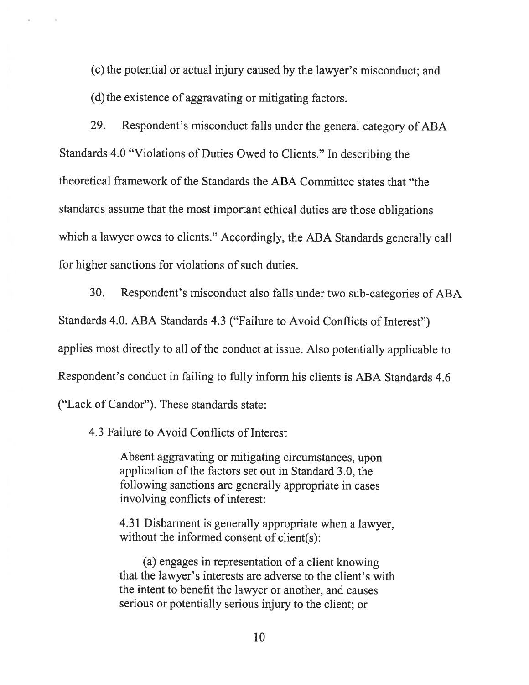(c) the potential or actual injury caused by the lawyer's misconduct; and (d) the existence of aggravating or mitigating factors.

29. Respondent's misconduct falls under the general category of ABA Standards 4.0 "Violations of Duties Owed to Clients." In describing the theoretical framework of the Standards the ABA Committee states that "the standards assume that the most important ethical duties are those obligations which <sup>a</sup> lawyer owes to clients." Accordingly, the ABA Standards generally call for higher sanctions for violations of such duties.

30. Respondent's misconduct also falls under two sub-categories of ABA Standards 4.0. ABA Standards 4.3 ("Failure to Avoid Conflicts of Interest") applies most directly to all of the conduct at issue. Also potentially applicable to Respondent's conduct in failing to fully inform his clients is ABA Standards 4.6 ("Lack of Candor"). These standards state:

4.3 Failure to Avoid Conflicts of Interest

Absent aggravating or mitigating circumstances, upon application of the factors set out in Standard 3.0, the following sanctions are generally appropriate in cases involving conflicts of interest:

4.31 Disbarment is generally appropriate when <sup>a</sup> lawyer, without the informed consent of client(s):

(a) engages in representation of <sup>a</sup> client knowing that the lawyer's interests are adverse to the client's with the intent to benefit the lawyer or another, and causes serious or potentially serious injury to the client; or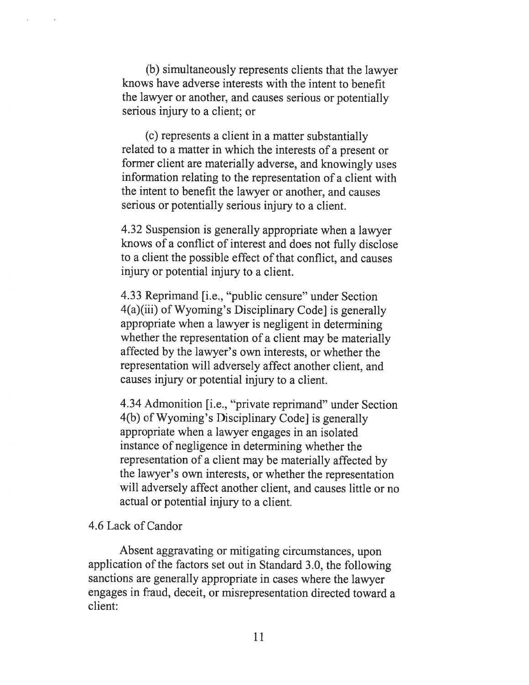(b) simultaneously represents clients that the lawyer knows have adverse interests with the intent to benefit the lawyer or another, and causes serious or potentially serious injury to a client; or

(c) represents a client in a matter substantially related to a matter in which the interests of a present or former client are materially adverse, and knowingly uses information relating to the representation of a client with the intent to benefit the lawyer or another, and causes serious or potentially serious injury to a client.

4.32 Suspension is generally appropriate when a lawyer knows of a conflict of interest and does not fully disclose to a client the possible effect of that conflict, and causes injury or potential injury to a client.

4.33 Reprimand [i.e., "public censure" under Section 4(a)(iii) of Wyoming's Disciplinary Code] is generally appropriate when a lawyer is negligent in determining whether the representation of a client may be materially affected by the lawyer's own interests, or whether the representation will adversely affect another client, and causes injury or potential injury to a client.

4.34 Admonition [i.e., "private reprimand" under Section 4(b) of Wyoming's Disciplinary Code] is generally appropriate when a lawyer engages in an isolated instance of negligence in determining whether the representation of a client may be materially affected by the lawyer's own interests, or whether the representation will adversely affect another client, and causes little or no actual or potential injury to a client.

#### 4.6 Lack of Candor

Absent aggravating or mitigating circumstances, upon application of the factors set out in Standard 3.0, the following sanctions are generally appropriate in cases where the lawyer engages in fraud, deceit, or misrepresentation directed toward a client: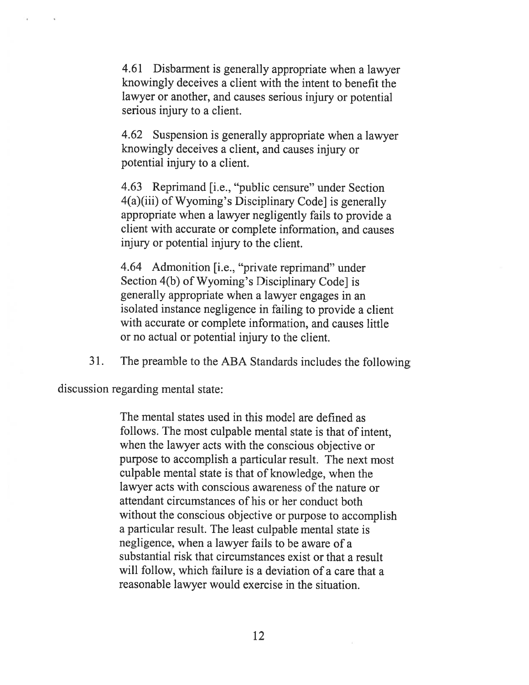4.61 Disbarment is generally appropriate when a lawyer knowingly deceives a client with the intent to benefit the lawyer or another, and causes serious injury or potential serious injury to a client.

4.62 Suspension is generally appropriate when a lawyer knowingly deceives a client, and causes injury or potential injury to a client.

4.63 Reprimand [i.e., "public censure" under Section 4(a)(iii) of Wyoming's Disciplinary Code] is generally appropriate when a lawyer negligently fails to provide a client with accurate or complete information, and causes injury or potential injury to the client.

4.64 Admonition [i.e., "private reprimand" under Section 4(b) of Wyoming's Disciplinary Code] is generally appropriate when a lawyer engages in an isolated instance negligence in failing to provide a client with accurate or complete information, and causes little or no actual or potential injury to the client.

31. The preamble to the ABA Standards includes the following

discussion regarding mental state:

The mental states used in this model are defined as follows. The most culpable mental state is that of intent, when the lawyer acts with the conscious objective or purpose to accomplish a particular result. The next most culpable mental state is that of knowledge, when the lawyer acts with conscious awareness of the nature or attendant circumstances of his or her conduct both without the conscious objective or purpose to accomplish a particular result. The least culpable mental state is negligence, when a lawyer fails to be aware of a substantial risk that circumstances exist or that a result will follow, which failure is a deviation of a care that a reasonable lawyer would exercise in the situation.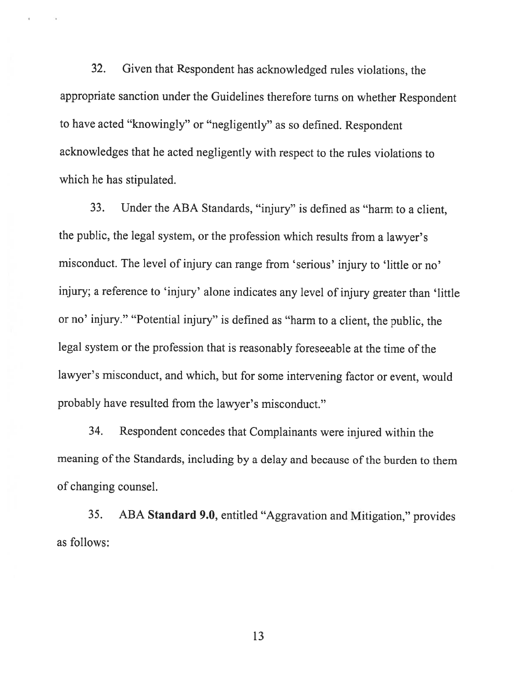32. Given that Respondent has acknowledged rules violations, the appropriate sanction under the Guidelines therefore turns on whether Respondent to have acted "knowingly" or "negligently" as so defined. Respondent acknowledges that he acted negligently with respect to the rules violations to which he has stipulated.

33. Under the ABA Standards, "injury" is defined as "harm to <sup>a</sup> client, the public, the legal system, or the profession which results from <sup>a</sup> lawyer's misconduct. The level of injury can range from 'serious' injury to 'little or no' injury; <sup>a</sup> reference to 'injury' alone indicates any level of injury greater than 'little or no' injury." "Potential injury" is defined as "harm to <sup>a</sup> client, the public, the legal system or the profession that is reasonably foreseeable at the time of the lawyer's misconduct, and which, but for some intervening factor or event, would probably have resulted from the lawyer's misconduct."

34. Respondent concedes that Complainants were injured within the meaning of the Standards, including by a delay and because of the burden to them of changing counsel.

35. ABA Standard 9.0, entitled "Aggravation and Mitigation," provides as follows: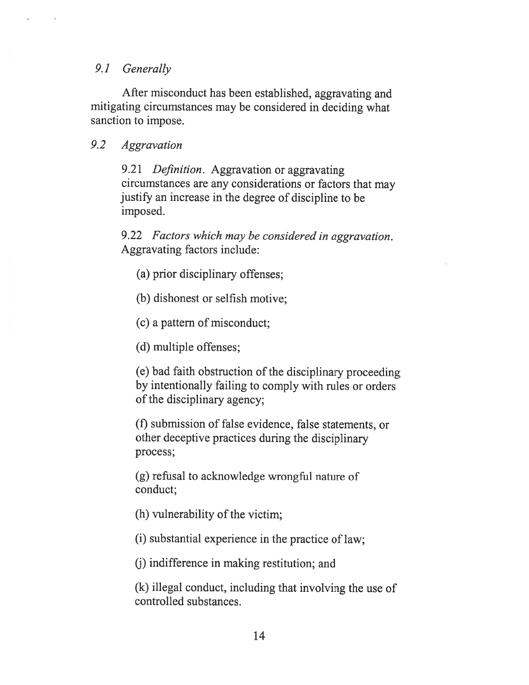## 9.1 Generally

After misconduct has been established, aggravating and mitigating circumstances may be considered in deciding what sanction to impose.

## 9.2 Aggravation

9.21 Definition. Aggravation or aggravating circumstances are any considerations or factors that may justify an increase in the degree of discipline to be imposed.

9.22 Factors which may be considered in aggravation. Aggravating factors include:

(a) prior disciplinary offenses;

(b) dishonest or selfish motive;

(c) <sup>a</sup> pattern of misconduct;

(d) multiple offenses;

(e) bad faith obstruction of the disciplinary proceeding by intentionally failing to comply with rules or orders of the disciplinary agency;

(f) submission of false evidence, false statements, or other deceptive practices during the disciplinary process;

(g) refusal to acknowledge wrongful nature of conduct;

 $(h)$  vulnerability of the victim;

(1) substantial experience in the practice of law;

(j) indifference in making restitution; and

(k) illegal conduct, including that involving the use of controlled substances.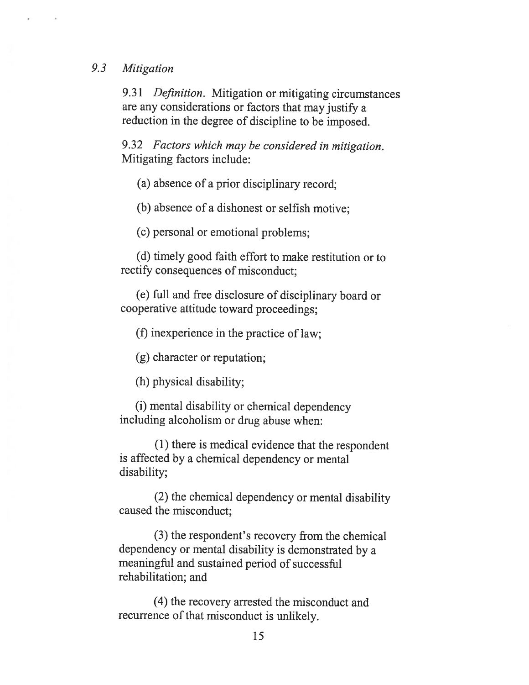#### 9.3 Mitigation

9.31 Definition. Mitigation or mitigating circumstances are any considerations or factors that may justify <sup>a</sup> reduction in the degree of discipline to be imposed.

9.32 Factors which may be considered in mitigation. Mitigating factors include:

(a) absence of <sup>a</sup> prior disciplinary record;

(b) absence of <sup>a</sup> dishonest or selfish motive;

(c) personal or emotional problems;

(d) timely good faith effort to make restitution or to rectify consequences of misconduct;

(e) full and free disclosure of disciplinary board or cooperative attitude toward proceedings;

(f) inexperience in the practice of law;

(g) character or reputation;

(h) physical disability;

(1) mental disability or chemical dependency including alcoholism or drug abuse when:

(1) there is medical evidence that the respondent is affected by <sup>a</sup> chemical dependency or mental disability;

(2) the chemical dependency or mental disability caused the misconduct;

(3) the respondent's recovery from the chemical dependency or mental disability is demonstrated by <sup>a</sup> meaningful and sustained period of successful rehabilitation; and

(4) the recovery arrested the misconduct and recurrence of that misconduct is unlikely.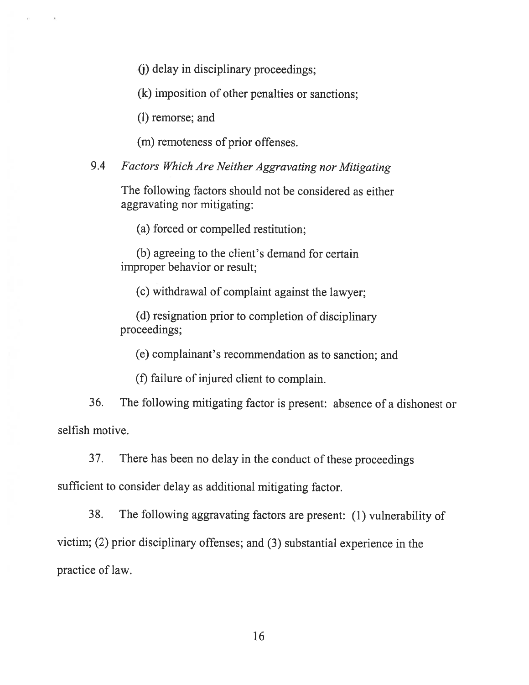(j) delay in disciplinary proceedings;

(k) imposition of other penalties or sanctions;

(1) remorse; and

(m) remoteness of prior offenses.

9.4 Factors Which Are Neither Aggravating nor Mitigating

The following factors should not be considered as either aggravating nor mitigating:

(a) forced or compelled restitution;

(b) agreeing to the client's demand for certain improper behavior or result;

(c) withdrawal of complaint against the lawyer;

(d) resignation prior to completion of disciplinary proceedings;

(e) complainant's recommendation as to sanction; and

(f) failure of injured client to complain.

36. The following mitigating factor is present: absence of <sup>a</sup> dishonest or selfish motive.

37. There has been no delay in the conduct of these proceedings

sufficient to consider delay as additional mitigating factor.

38. The following aggravating factors are present: (1) vulnerability of victim; (2) prior disciplinary offenses; and (3) substantial experience in the practice of law.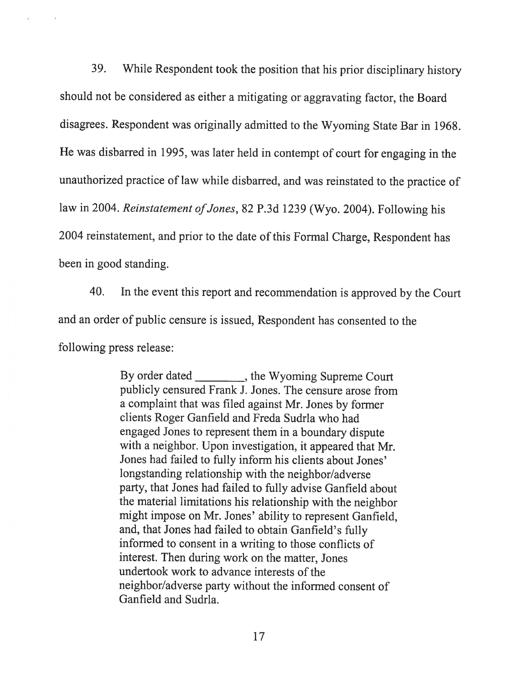39. While Respondent took the position that his prior disciplinary history should not be considered as either <sup>a</sup> mitigating or aggravating factor, the Board disagrees. Respondent was originally admitted to the Wyoming State Bar in 1968. He was disbarred in 1995, was later held in contempt of court for engaging in the unauthorized practice of law while disbarred, and was reinstated to the practice of law in 2004. Reinstatement of Jones, 82 P.3d 1239 (Wyo. 2004). Following his 2004 reinstatement, and prior to the date of this Formal Charge, Respondent has been in good standing.

40. In the event this report and recommendation is approved by the Court and an order of public censure is issued, Respondent has consented to the following press release:

> By order dated \_\_\_\_\_\_\_\_\_, the Wyoming Supreme Court publicly censured Frank J. Jones. The censure arose from <sup>a</sup> complaint that was filed against Mr. Jones by former clients Roger Ganfield and Freda Sudrla who had engaged Jones to represent them in <sup>a</sup> boundary dispute with <sup>a</sup> neighbor. Upon investigation, it appeared that Mr. Jones had failed to fully inform his clients about Jones' longstanding relationship with the neighbor/adverse party, that Jones had failed to fully advise Ganfield about the material limitations his relationship with the neighbor might impose on Mr. Jones' ability to represent Ganfield, and, that Jones had failed to obtain Ganfield's fully informed to consent in <sup>a</sup> writing to those conflicts of interest. Then during work on the matter, Jones undertook work to advance interests of the neighbor/adverse party without the informed consent of Ganfield and Sudria.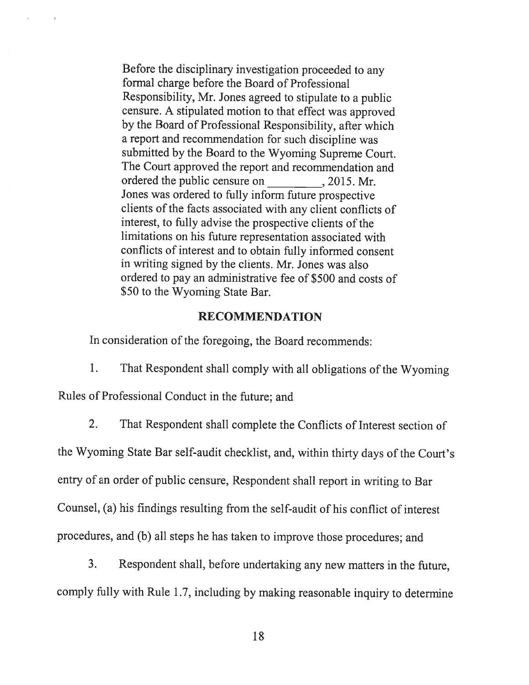Before the disciplinary investigation proceeded to any formal charge before the Board of Professional Responsibility, Mr. Jones agreed to stipulate to <sup>a</sup> public censure. <sup>A</sup> stipulated motion to that effect was approved by the Board of Professional Responsibility, after which <sup>a</sup> report and recommendation for such discipline was submitted by the Board to the Wyoming Supreme Court. The Court approved the report and recommendation and ordered the public censure on 2015. Mr. Jones was ordered to fully inform future prospective clients of the facts associated with any client conflicts of interest, to fully advise the prospective clients of the limitations on his future representation associated with conflicts of interest and to obtain fully informed consent in writing signed by the clients. Mr. Jones was also ordered to pay an administrative fee of \$500 and costs of \$50 to the Wyoming State Bar.

#### RECOMMENDATION

In consideration of the foregoing, the Board recommends:

- 1. That Respondent shall comply with all obligations of the Wyoming Rules of Professional Conduct in the future; and
	- 2. That Respondent shall complete the Conflicts of Interest section of

the Wyoming State Bar self-audit checklist, and, within thirty days of the Court's entry of an order of public censure, Respondent shall report in writing to Bar Counsel, (a) his findings resulting from the self-audit of his conflict of interest procedures, and (b) all steps he has taken to improve those procedures; and

3. Respondent shall, before undertaking any new matters in the future, comply fully with Rule 1.7, including by making reasonable inquiry to determine